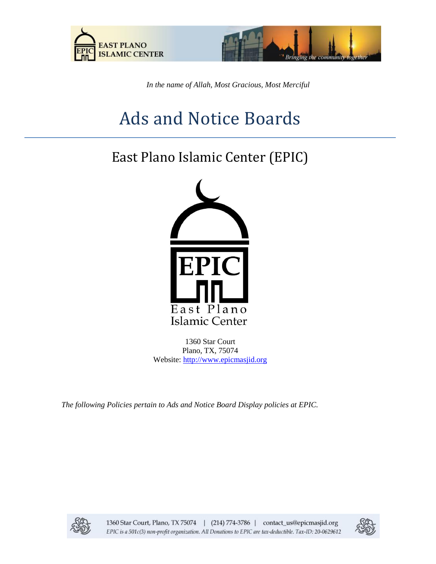



*In the name of Allah, Most Gracious, Most Merciful*

# Ads and Notice Boards

# East Plano Islamic Center (EPIC)



1360 Star Court Plano, TX, 75074 Website: [http://www.epicmasjid.org](http://www.al-iman.org/)

*The following Policies pertain to Ads and Notice Board Display policies at EPIC.*



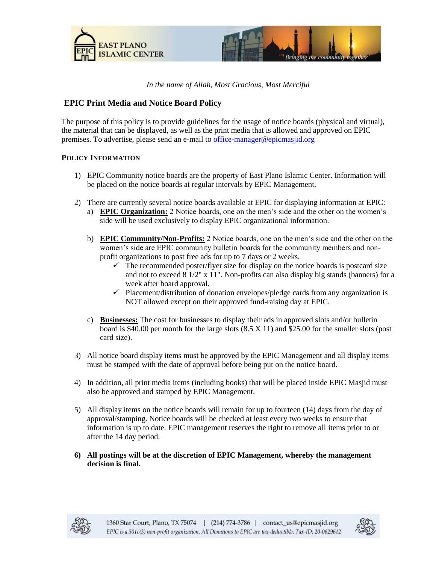



## *In the name of Allah, Most Gracious, Most Merciful*

# **EPIC Print Media and Notice Board Policy**

The purpose of this policy is to provide guidelines for the usage of notice boards (physical and virtual), the material that can be displayed, as well as the print media that is allowed and approved on EPIC premises. To advertise, please send an e-mail t[o office-manager@epicmasjid.org](mailto:office-manager@epicmasjid.org)

### **POLICY INFORMATION**

- 1) EPIC Community notice boards are the property of East Plano Islamic Center. Information will be placed on the notice boards at regular intervals by EPIC Management.
- 2) There are currently several notice boards available at EPIC for displaying information at EPIC:
	- a) **EPIC Organization:** 2 Notice boards, one on the men's side and the other on the women's side will be used exclusively to display EPIC organizational information.
	- b) **EPIC Community/Non-Profits:** 2 Notice boards, one on the men's side and the other on the women's side are EPIC community bulletin boards for the community members and nonprofit organizations to post free ads for up to 7 days or 2 weeks.
		- $\checkmark$  The recommended poster/flyer size for display on the notice boards is postcard size and not to exceed  $8\frac{1}{2}$ " x  $11$ ". Non-profits can also display big stands (banners) for a week after board approval.
		- $\checkmark$  Placement/distribution of donation envelopes/pledge cards from any organization is NOT allowed except on their approved fund-raising day at EPIC.
	- c) **Businesses:** The cost for businesses to display their ads in approved slots and/or bulletin board is \$40.00 per month for the large slots (8.5 X 11) and \$25.00 for the smaller slots (post card size).
- 3) All notice board display items must be approved by the EPIC Management and all display items must be stamped with the date of approval before being put on the notice board.
- 4) In addition, all print media items (including books) that will be placed inside EPIC Masjid must also be approved and stamped by EPIC Management.
- 5) All display items on the notice boards will remain for up to fourteen (14) days from the day of approval/stamping. Notice boards will be checked at least every two weeks to ensure that information is up to date. EPIC management reserves the right to remove all items prior to or after the 14 day period.
- **6) All postings will be at the discretion of EPIC Management, whereby the management decision is final.**